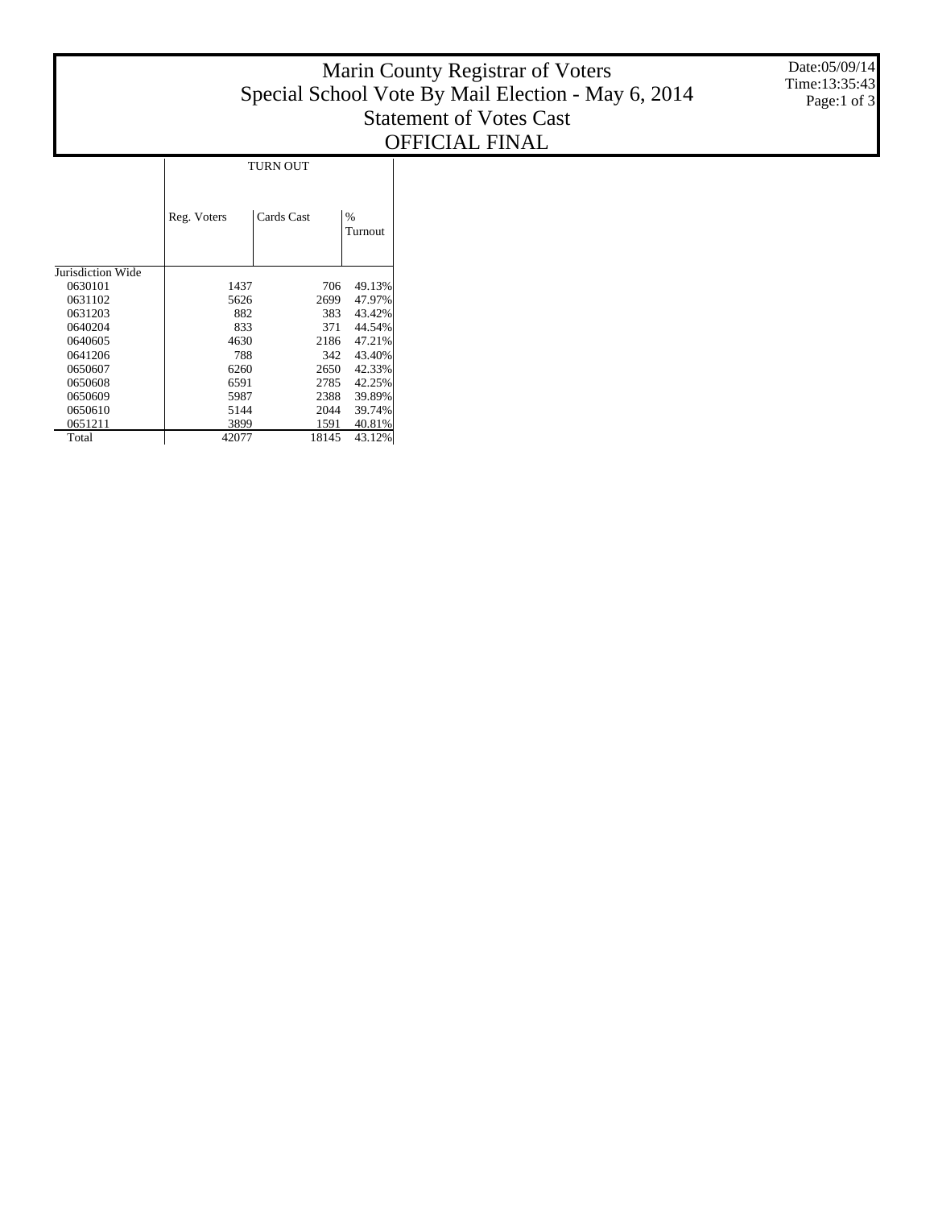## Marin County Registrar of Voters Special School Vote By Mail Election - May 6, 2014 Statement of Votes Cast OFFICIAL FINAL

|                   | TURN OUT    |            |      |                 |  |  |
|-------------------|-------------|------------|------|-----------------|--|--|
|                   | Reg. Voters | Cards Cast |      | $\%$<br>Turnout |  |  |
| Jurisdiction Wide |             |            |      |                 |  |  |
| 0630101           | 1437        |            | 706  | 49.13%          |  |  |
| 0631102           | 5626        |            | 2699 | 47.97%          |  |  |
| 0631203           | 882         |            | 383  | 43.42%          |  |  |
| 0640204           | 833         |            | 371  | 44.54%          |  |  |
| 0640605           | 4630        |            | 2186 | 47.21%          |  |  |
| 0641206           | 788         |            | 342  | 43.40%          |  |  |
| 0650607           | 6260        |            | 2650 | 42.33%          |  |  |
| 0650608           | 6591        |            | 2785 | 42.25%          |  |  |
| 0650609           | 5987        |            | 2388 | 39.89%          |  |  |
| 0650610           | 5144        |            | 2044 | 39.74%          |  |  |

 1591 40.81% 18145 43.12%

 Total

## Date:05/09/14 Time:13:35:43 Page:1 of 3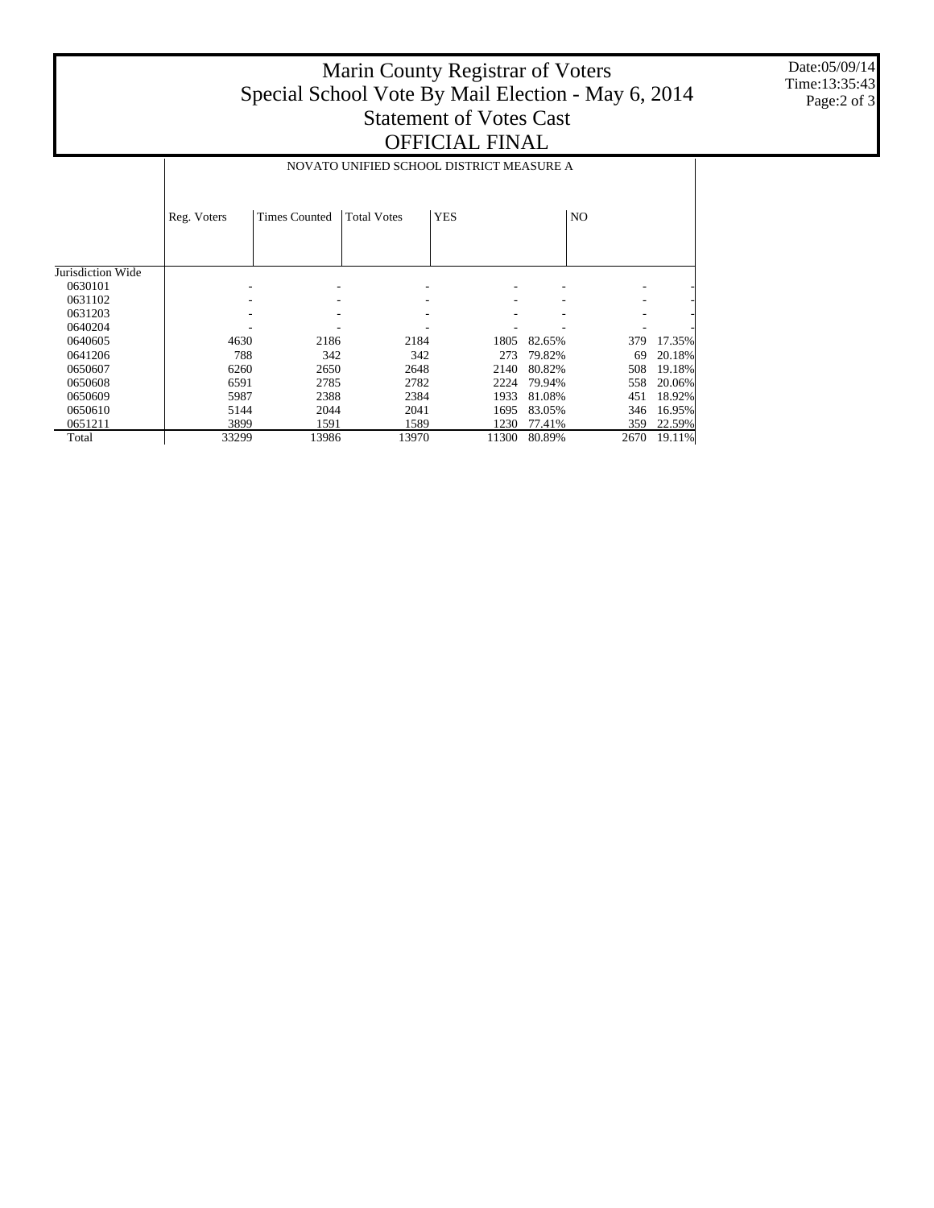## Marin County Registrar of Voters Special School Vote By Mail Election - May 6, 2014 Statement of Votes Cast OFFICIAL FINAL

Date:05/09/14 Time:13:35:43 Page:2 of 3

|                   | NOVATO UNIFIED SCHOOL DISTRICT MEASURE A |                      |                    |            |        |                |        |
|-------------------|------------------------------------------|----------------------|--------------------|------------|--------|----------------|--------|
|                   | Reg. Voters                              | <b>Times Counted</b> | <b>Total Votes</b> | <b>YES</b> |        | N <sub>O</sub> |        |
|                   |                                          |                      |                    |            |        |                |        |
| Jurisdiction Wide |                                          |                      |                    |            |        |                |        |
| 0630101           |                                          |                      |                    |            |        |                |        |
| 0631102           |                                          |                      |                    |            |        |                |        |
| 0631203           |                                          |                      |                    |            |        |                |        |
| 0640204           |                                          |                      |                    |            |        |                |        |
| 0640605           | 4630                                     | 2186                 | 2184               | 1805       | 82.65% | 379            | 17.35% |
| 0641206           | 788                                      | 342                  | 342                | 273        | 79.82% | 69             | 20.18% |
| 0650607           | 6260                                     | 2650                 | 2648               | 2140       | 80.82% | 508            | 19.18% |
| 0650608           | 6591                                     | 2785                 | 2782               | 2224       | 79.94% | 558            | 20.06% |
| 0650609           | 5987                                     | 2388                 | 2384               | 1933       | 81.08% | 451            | 18.92% |
| 0650610           | 5144                                     | 2044                 | 2041               | 1695       | 83.05% | 346            | 16.95% |
| 0651211           | 3899                                     | 1591                 | 1589               | 1230       | 77.41% | 359            | 22.59% |
| Total             | 33299                                    | 13986                | 13970              | 11300      | 80.89% | 2670           | 19.11% |